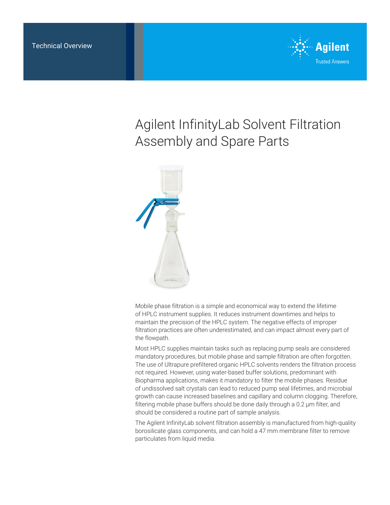

# Agilent InfinityLab Solvent Filtration Assembly and Spare Parts



Mobile phase filtration is a simple and economical way to extend the lifetime of HPLC instrument supplies. It reduces instrument downtimes and helps to maintain the precision of the HPLC system. The negative effects of improper filtration practices are often underestimated, and can impact almost every part of the flowpath.

Most HPLC supplies maintain tasks such as replacing pump seals are considered mandatory procedures, but mobile phase and sample filtration are often forgotten. The use of Ultrapure prefiltered organic HPLC solvents renders the filtration process not required. However, using water-based buffer solutions, predominant with Biopharma applications, makes it mandatory to filter the mobile phases. Residue of undissolved salt crystals can lead to reduced pump seal lifetimes, and microbial growth can cause increased baselines and capillary and column clogging. Therefore, filtering mobile phase buffers should be done daily through a 0.2 µm filter, and should be considered a routine part of sample analysis.

The Agilent InfinityLab solvent filtration assembly is manufactured from high-quality borosilicate glass components, and can hold a 47 mm membrane filter to remove particulates from liquid media.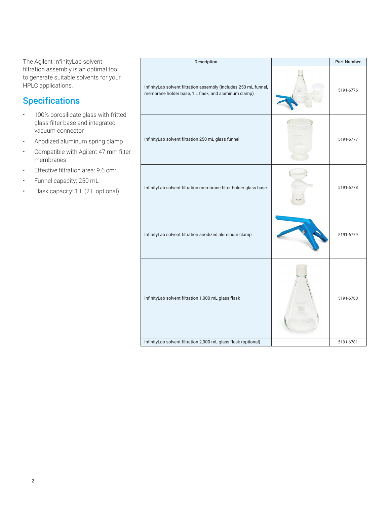The Agilent InfinityLab solvent filtration assembly is an optimal tool to generate suitable solvents for your HPLC applications.

# **Specifications**

- 100% borosilicate glass with fritted glass filter base and integrated vacuum connector
- Anodized aluminum spring clamp
- Compatible with Agilent 47 mm filter membranes
- Effective filtration area: 9.6 cm<sup>2</sup>
- Funnel capacity: 250 mL
- Flask capacity: 1 L (2 L optional)

| Description                                                                                                              |       | <b>Part Number</b> |
|--------------------------------------------------------------------------------------------------------------------------|-------|--------------------|
| InfinityLab solvent filtration assembly (includes 250 mL funnel,<br>membrane holder base, 1 L flask, and aluminum clamp) |       | 5191-6776          |
| InfinityLab solvent filtration 250 mL glass funnel                                                                       |       | 5191-6777          |
| InfinityLab solvent filtration membrane filter holder glass base                                                         | 40/30 | 5191-6778          |
| InfinityLab solvent filtration anodized aluminum clamp                                                                   |       | 5191-6779          |
| InfinityLab solvent filtration 1,000 mL glass flask                                                                      |       | 5191-6780          |
| InfinityLab solvent filtration 2,000 mL glass flask (optional)                                                           |       | 5191-6781          |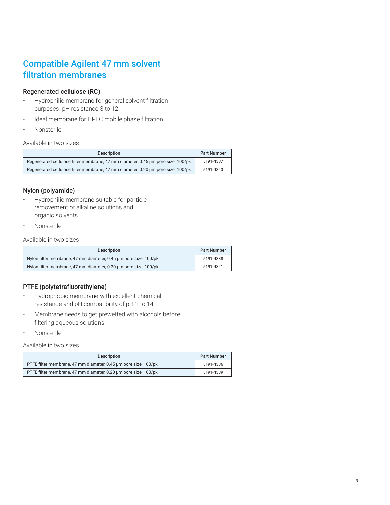## Compatible Agilent 47 mm solvent filtration membranes

### Regenerated cellulose (RC)

- Hydrophilic membrane for general solvent filtration purposes. pH resistance 3 to 12.
- Ideal membrane for HPLC mobile phase filtration
- **Nonsterile**

#### Available in two sizes

| <b>Description</b>                                                               | <b>Part Number</b> |
|----------------------------------------------------------------------------------|--------------------|
| Regenerated cellulose filter membrane, 47 mm diameter, 0.45 um pore size, 100/pk | 5191-4337          |
| Regenerated cellulose filter membrane, 47 mm diameter, 0.20 µm pore size, 100/pk | 5191-4340          |

### Nylon (polyamide)

- Hydrophilic membrane suitable for particle removement of alkaline solutions and organic solvents
- Nonsterile

Available in two sizes

| <b>Description</b>                                               | <b>Part Number</b> |
|------------------------------------------------------------------|--------------------|
| Nylon filter membrane, 47 mm diameter, 0.45 um pore size, 100/pk | 5191-4338          |
| Nylon filter membrane, 47 mm diameter, 0.20 um pore size, 100/pk | 5191-4341          |

### PTFE (polytetrafluorethylene)

- Hydrophobic membrane with excellent chemical resistance and pH compatibility of pH 1 to 14
- Membrane needs to get prewetted with alcohols before filtering aqueous solutions.
- Nonsterile

Available in two sizes

| <b>Description</b>                                              | <b>Part Number</b> |
|-----------------------------------------------------------------|--------------------|
| PTFE filter membrane, 47 mm diameter, 0.45 um pore size, 100/pk | 5191-4336          |
| PTFE filter membrane, 47 mm diameter, 0.20 um pore size, 100/pk | 5191-4339          |